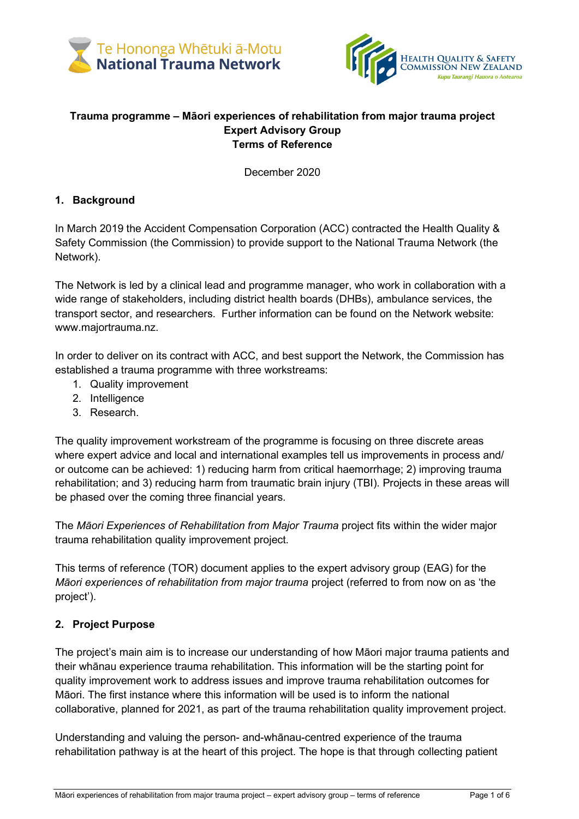



#### **Trauma programme – Māori experiences of rehabilitation from major trauma project Expert Advisory Group Terms of Reference**

December 2020

### **1. Background**

In March 2019 the Accident Compensation Corporation (ACC) contracted the Health Quality & Safety Commission (the Commission) to provide support to the National Trauma Network (the Network).

The Network is led by a clinical lead and programme manager, who work in collaboration with a wide range of stakeholders, including district health boards (DHBs), ambulance services, the transport sector, and researchers. Further information can be found on the Network website: [www.majortrauma.nz.](http://www.majortrauma.nz/)

In order to deliver on its contract with ACC, and best support the Network, the Commission has established a trauma programme with three workstreams:

- 1. Quality improvement
- 2. Intelligence
- 3. Research.

The quality improvement workstream of the programme is focusing on three discrete areas where expert advice and local and international examples tell us improvements in process and/ or outcome can be achieved: 1) reducing harm from critical haemorrhage; 2) improving trauma rehabilitation; and 3) reducing harm from traumatic brain injury (TBI). Projects in these areas will be phased over the coming three financial years.

The *Māori Experiences of Rehabilitation from Major Trauma* project fits within the wider major trauma rehabilitation quality improvement project.

This terms of reference (TOR) document applies to the expert advisory group (EAG) for the *Māori experiences of rehabilitation from major trauma* project (referred to from now on as 'the project').

# **2. Project Purpose**

The project's main aim is to increase our understanding of how Māori major trauma patients and their whānau experience trauma rehabilitation. This information will be the starting point for quality improvement work to address issues and improve trauma rehabilitation outcomes for Māori. The first instance where this information will be used is to inform the national collaborative, planned for 2021, as part of the trauma rehabilitation quality improvement project.

Understanding and valuing the person- and-whānau-centred experience of the trauma rehabilitation pathway is at the heart of this project. The hope is that through collecting patient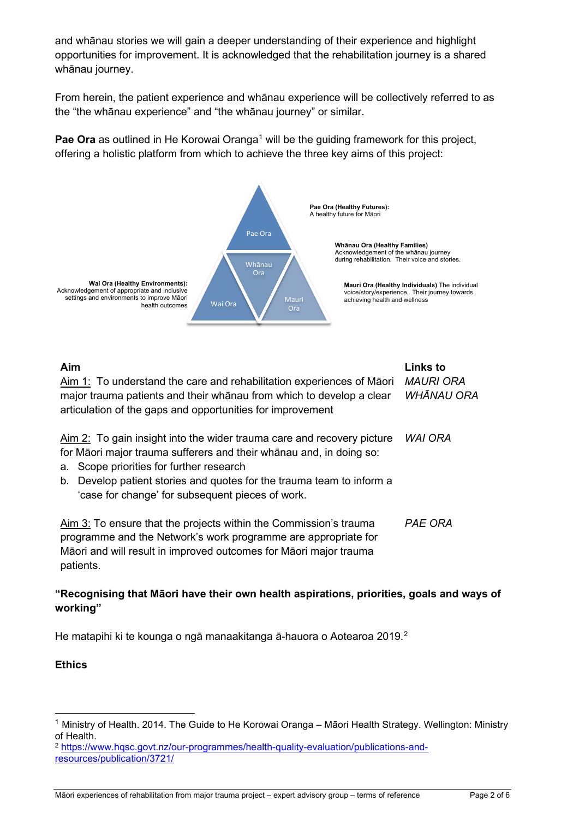and whānau stories we will gain a deeper understanding of their experience and highlight opportunities for improvement. It is acknowledged that the rehabilitation journey is a shared whānau journey.

From herein, the patient experience and whānau experience will be collectively referred to as the "the whānau experience" and "the whānau journey" or similar.

**Pae Ora** as outlined in He Korowai Oranga<sup>[1](#page-1-0)</sup> will be the guiding framework for this project, offering a holistic platform from which to achieve the three key aims of this project:



| Aim<br>Aim 1: To understand the care and rehabilitation experiences of Maori<br>major trauma patients and their whanau from which to develop a clear<br>articulation of the gaps and opportunities for improvement                                                                                                        | <b>Links to</b><br><b>MAURI ORA</b><br><b>WHĀNAU ORA</b> |
|---------------------------------------------------------------------------------------------------------------------------------------------------------------------------------------------------------------------------------------------------------------------------------------------------------------------------|----------------------------------------------------------|
| Aim 2: To gain insight into the wider trauma care and recovery picture<br>for Māori major trauma sufferers and their whanau and, in doing so:<br>a. Scope priorities for further research<br>Develop patient stories and quotes for the trauma team to inform a<br>b.<br>'case for change' for subsequent pieces of work. | WAI ORA                                                  |
| Aim 3: To ensure that the projects within the Commission's trauma<br>programme and the Network's work programme are appropriate for<br>Māori and will result in improved outcomes for Māori major trauma<br>patients.                                                                                                     | <b>PAE ORA</b>                                           |

### **"Recognising that Māori have their own health aspirations, priorities, goals and ways of working"**

He matapihi ki te kounga o ngā manaakitanga ā-hauora o Aotearoa 2019. [2](#page-1-1)

### **Ethics**

<span id="page-1-0"></span><sup>1</sup> Ministry of Health. 2014. The Guide to He Korowai Oranga – Māori Health Strategy. Wellington: Ministry of Health.

<span id="page-1-1"></span><sup>2</sup> [https://www.hqsc.govt.nz/our](https://www.hqsc.govt.nz/our-programmes/health-quality-evaluation/publications-and-resources/publication/3721/)-programmes/health-quality-evaluation/publications-and[resources/publication/3721/](https://www.hqsc.govt.nz/our-programmes/health-quality-evaluation/publications-and-resources/publication/3721/)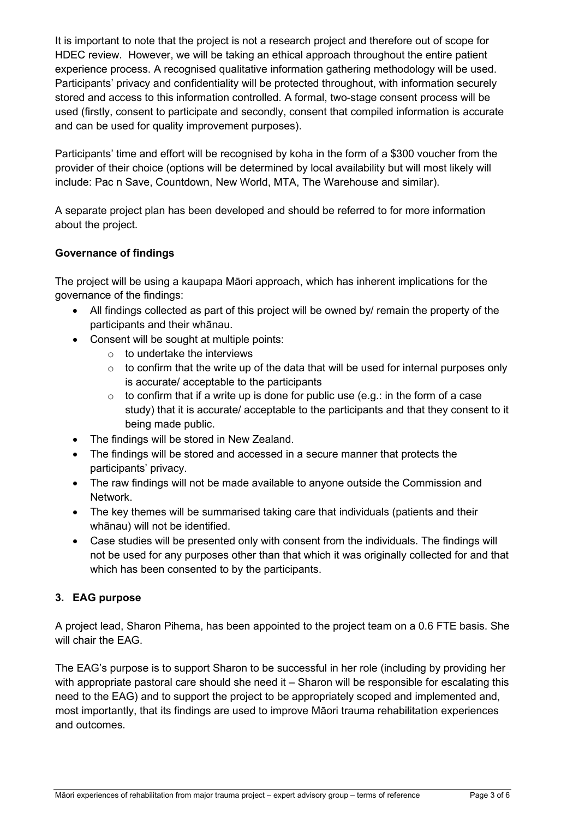It is important to note that the project is not a research project and therefore out of scope for HDEC review. However, we will be taking an ethical approach throughout the entire patient experience process. A recognised qualitative information gathering methodology will be used. Participants' privacy and confidentiality will be protected throughout, with information securely stored and access to this information controlled. A formal, two-stage consent process will be used (firstly, consent to participate and secondly, consent that compiled information is accurate and can be used for quality improvement purposes).

Participants' time and effort will be recognised by koha in the form of a \$300 voucher from the provider of their choice (options will be determined by local availability but will most likely will include: Pac n Save, Countdown, New World, MTA, The Warehouse and similar).

A separate project plan has been developed and should be referred to for more information about the project.

### **Governance of findings**

The project will be using a kaupapa Māori approach, which has inherent implications for the governance of the findings:

- All findings collected as part of this project will be owned by/ remain the property of the participants and their whānau.
- Consent will be sought at multiple points:
	- $\circ$  to undertake the interviews
	- $\circ$  to confirm that the write up of the data that will be used for internal purposes only is accurate/ acceptable to the participants
	- $\circ$  to confirm that if a write up is done for public use (e.g.: in the form of a case study) that it is accurate/ acceptable to the participants and that they consent to it being made public.
- The findings will be stored in New Zealand.
- The findings will be stored and accessed in a secure manner that protects the participants' privacy.
- The raw findings will not be made available to anyone outside the Commission and Network.
- The key themes will be summarised taking care that individuals (patients and their whānau) will not be identified.
- Case studies will be presented only with consent from the individuals. The findings will not be used for any purposes other than that which it was originally collected for and that which has been consented to by the participants.

### **3. EAG purpose**

A project lead, Sharon Pihema, has been appointed to the project team on a 0.6 FTE basis. She will chair the EAG.

The EAG's purpose is to support Sharon to be successful in her role (including by providing her with appropriate pastoral care should she need it – Sharon will be responsible for escalating this need to the EAG) and to support the project to be appropriately scoped and implemented and, most importantly, that its findings are used to improve Māori trauma rehabilitation experiences and outcomes.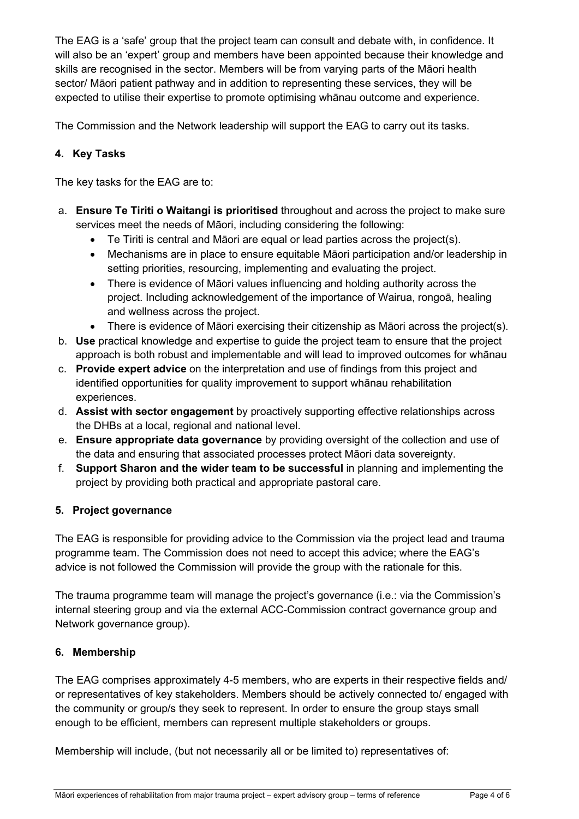The EAG is a 'safe' group that the project team can consult and debate with, in confidence. It will also be an 'expert' group and members have been appointed because their knowledge and skills are recognised in the sector. Members will be from varying parts of the Māori health sector/ Māori patient pathway and in addition to representing these services, they will be expected to utilise their expertise to promote optimising whānau outcome and experience.

The Commission and the Network leadership will support the EAG to carry out its tasks.

## **4. Key Tasks**

The key tasks for the EAG are to:

- a. **Ensure Te Tiriti o Waitangi is prioritised** throughout and across the project to make sure services meet the needs of Māori, including considering the following:
	- Te Tiriti is central and Māori are equal or lead parties across the project(s).
	- Mechanisms are in place to ensure equitable Māori participation and/or leadership in setting priorities, resourcing, implementing and evaluating the project.
	- There is evidence of Māori values influencing and holding authority across the project. Including acknowledgement of the importance of Wairua, rongoā, healing and wellness across the project.
	- There is evidence of Māori exercising their citizenship as Māori across the project(s).
- b. **Use** practical knowledge and expertise to guide the project team to ensure that the project approach is both robust and implementable and will lead to improved outcomes for whānau
- c. **Provide expert advice** on the interpretation and use of findings from this project and identified opportunities for quality improvement to support whānau rehabilitation experiences.
- d. **Assist with sector engagement** by proactively supporting effective relationships across the DHBs at a local, regional and national level.
- e. **Ensure appropriate data governance** by providing oversight of the collection and use of the data and ensuring that associated processes protect Māori data sovereignty.
- f. **Support Sharon and the wider team to be successful** in planning and implementing the project by providing both practical and appropriate pastoral care.

### **5. Project governance**

The EAG is responsible for providing advice to the Commission via the project lead and trauma programme team. The Commission does not need to accept this advice; where the EAG's advice is not followed the Commission will provide the group with the rationale for this.

The trauma programme team will manage the project's governance (i.e.: via the Commission's internal steering group and via the external ACC-Commission contract governance group and Network governance group).

### **6. Membership**

The EAG comprises approximately 4-5 members, who are experts in their respective fields and/ or representatives of key stakeholders. Members should be actively connected to/ engaged with the community or group/s they seek to represent. In order to ensure the group stays small enough to be efficient, members can represent multiple stakeholders or groups.

Membership will include, (but not necessarily all or be limited to) representatives of: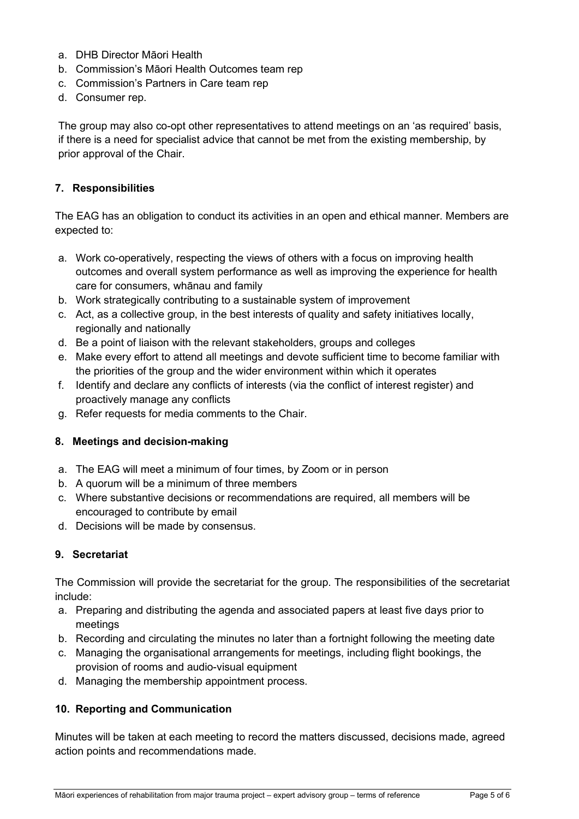- a. DHB Director Māori Health
- b. Commission's Māori Health Outcomes team rep
- c. Commission's Partners in Care team rep
- d. Consumer rep.

The group may also co-opt other representatives to attend meetings on an 'as required' basis, if there is a need for specialist advice that cannot be met from the existing membership, by prior approval of the Chair.

### **7. Responsibilities**

The EAG has an obligation to conduct its activities in an open and ethical manner. Members are expected to:

- a. Work co-operatively, respecting the views of others with a focus on improving health outcomes and overall system performance as well as improving the experience for health care for consumers, whānau and family
- b. Work strategically contributing to a sustainable system of improvement
- c. Act, as a collective group, in the best interests of quality and safety initiatives locally, regionally and nationally
- d. Be a point of liaison with the relevant stakeholders, groups and colleges
- e. Make every effort to attend all meetings and devote sufficient time to become familiar with the priorities of the group and the wider environment within which it operates
- f. Identify and declare any conflicts of interests (via the conflict of interest register) and proactively manage any conflicts
- g. Refer requests for media comments to the Chair.

### **8. Meetings and decision-making**

- a. The EAG will meet a minimum of four times, by Zoom or in person
- b. A quorum will be a minimum of three members
- c. Where substantive decisions or recommendations are required, all members will be encouraged to contribute by email
- d. Decisions will be made by consensus.

# **9. Secretariat**

The Commission will provide the secretariat for the group. The responsibilities of the secretariat include:

- a. Preparing and distributing the agenda and associated papers at least five days prior to meetings
- b. Recording and circulating the minutes no later than a fortnight following the meeting date
- c. Managing the organisational arrangements for meetings, including flight bookings, the provision of rooms and audio-visual equipment
- d. Managing the membership appointment process.

# **10. Reporting and Communication**

Minutes will be taken at each meeting to record the matters discussed, decisions made, agreed action points and recommendations made.